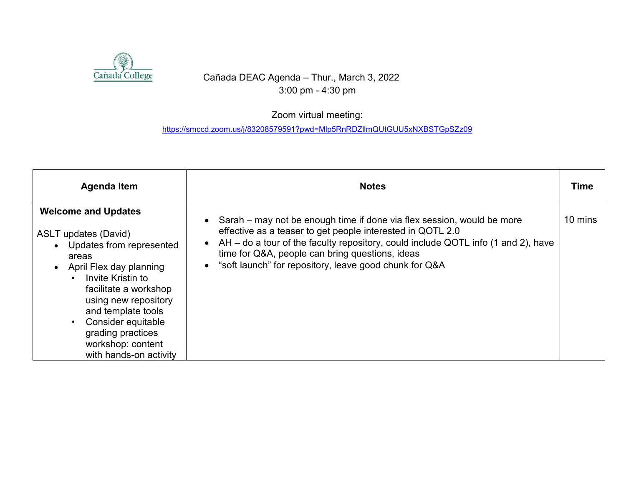

## Cañada DEAC Agenda – Thur., March 3, 2022 3:00 pm - 4:30 pm

## Zoom virtual meeting:

<https://smccd.zoom.us/j/83208579591?pwd=Mlp5RnRDZllmQUtGUU5xNXBSTGpSZz09>

| <b>Agenda Item</b>                                                                                                                                                                                                                                                                                              | <b>Notes</b>                                                                                                                                                                                                                                                                                                                                                       | <b>Time</b> |
|-----------------------------------------------------------------------------------------------------------------------------------------------------------------------------------------------------------------------------------------------------------------------------------------------------------------|--------------------------------------------------------------------------------------------------------------------------------------------------------------------------------------------------------------------------------------------------------------------------------------------------------------------------------------------------------------------|-------------|
| <b>Welcome and Updates</b><br><b>ASLT updates (David)</b><br>Updates from represented<br>areas<br>April Flex day planning<br>Invite Kristin to<br>facilitate a workshop<br>using new repository<br>and template tools<br>Consider equitable<br>grading practices<br>workshop: content<br>with hands-on activity | Sarah – may not be enough time if done via flex session, would be more<br>$\bullet$<br>effective as a teaser to get people interested in QOTL 2.0<br>AH – do a tour of the faculty repository, could include QOTL info (1 and 2), have<br>$\bullet$<br>time for Q&A, people can bring questions, ideas<br>• "soft launch" for repository, leave good chunk for Q&A | 10 mins     |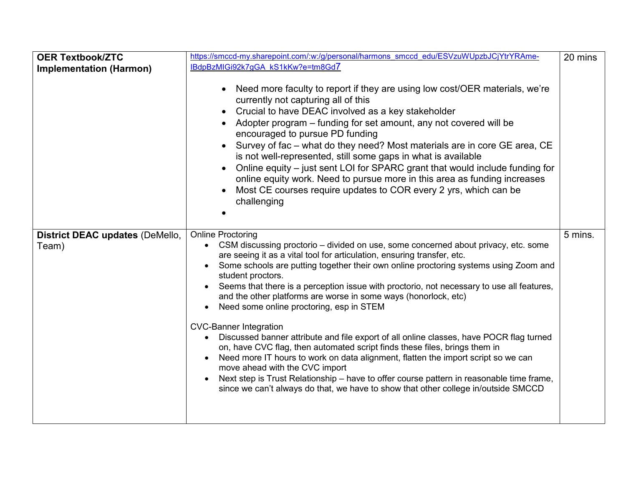| <b>OER Textbook/ZTC</b><br><b>Implementation (Harmon)</b> | https://smccd-my.sharepoint.com/:w:/g/personal/harmons smccd edu/ESVzuWUpzbJCjYtrYRAme-<br>IBdpBzMIGi92k7gGA kS1kKw?e=tm8Gd7<br>Need more faculty to report if they are using low cost/OER materials, we're<br>currently not capturing all of this<br>Crucial to have DEAC involved as a key stakeholder<br>Adopter program – funding for set amount, any not covered will be<br>encouraged to pursue PD funding<br>Survey of fac - what do they need? Most materials are in core GE area, CE<br>is not well-represented, still some gaps in what is available<br>Online equity – just sent LOI for SPARC grant that would include funding for<br>online equity work. Need to pursue more in this area as funding increases<br>Most CE courses require updates to COR every 2 yrs, which can be<br>challenging                                                                                                                                                                                                                                                               | 20 mins |
|-----------------------------------------------------------|------------------------------------------------------------------------------------------------------------------------------------------------------------------------------------------------------------------------------------------------------------------------------------------------------------------------------------------------------------------------------------------------------------------------------------------------------------------------------------------------------------------------------------------------------------------------------------------------------------------------------------------------------------------------------------------------------------------------------------------------------------------------------------------------------------------------------------------------------------------------------------------------------------------------------------------------------------------------------------------------------------------------------------------------------------------------------|---------|
| District DEAC updates (DeMello,<br>Team)                  | <b>Online Proctoring</b><br>CSM discussing proctorio – divided on use, some concerned about privacy, etc. some<br>are seeing it as a vital tool for articulation, ensuring transfer, etc.<br>Some schools are putting together their own online proctoring systems using Zoom and<br>$\bullet$<br>student proctors.<br>Seems that there is a perception issue with proctorio, not necessary to use all features,<br>$\bullet$<br>and the other platforms are worse in some ways (honorlock, etc)<br>Need some online proctoring, esp in STEM<br><b>CVC-Banner Integration</b><br>Discussed banner attribute and file export of all online classes, have POCR flag turned<br>$\bullet$<br>on, have CVC flag, then automated script finds these files, brings them in<br>Need more IT hours to work on data alignment, flatten the import script so we can<br>move ahead with the CVC import<br>Next step is Trust Relationship – have to offer course pattern in reasonable time frame,<br>since we can't always do that, we have to show that other college in/outside SMCCD | 5 mins. |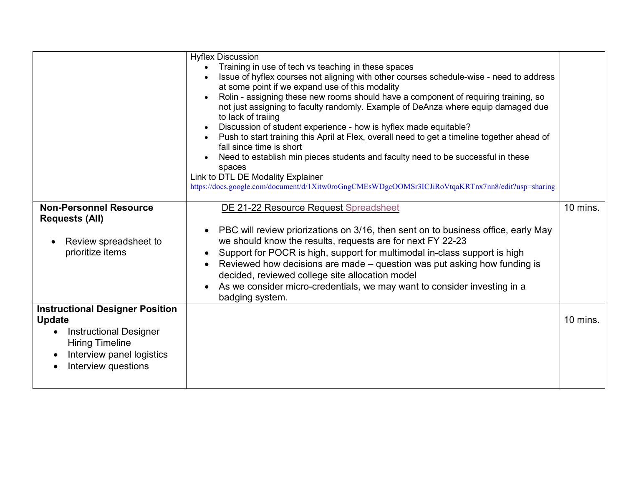|                                                                                                                                                                        | <b>Hyflex Discussion</b><br>Training in use of tech vs teaching in these spaces<br>Issue of hyflex courses not aligning with other courses schedule-wise - need to address<br>at some point if we expand use of this modality<br>Rolin - assigning these new rooms should have a component of requiring training, so<br>not just assigning to faculty randomly. Example of DeAnza where equip damaged due<br>to lack of traiing<br>Discussion of student experience - how is hyflex made equitable?<br>Push to start training this April at Flex, overall need to get a timeline together ahead of<br>fall since time is short<br>Need to establish min pieces students and faculty need to be successful in these<br>spaces<br>Link to DTL DE Modality Explainer<br>https://docs.google.com/document/d/1Xitw0roGngCMEsWDgcOOMSr3ICJiRoVtqaKRTnx7nn8/edit?usp=sharing |          |
|------------------------------------------------------------------------------------------------------------------------------------------------------------------------|-----------------------------------------------------------------------------------------------------------------------------------------------------------------------------------------------------------------------------------------------------------------------------------------------------------------------------------------------------------------------------------------------------------------------------------------------------------------------------------------------------------------------------------------------------------------------------------------------------------------------------------------------------------------------------------------------------------------------------------------------------------------------------------------------------------------------------------------------------------------------|----------|
| <b>Non-Personnel Resource</b><br><b>Requests (All)</b>                                                                                                                 | DE 21-22 Resource Request Spreadsheet                                                                                                                                                                                                                                                                                                                                                                                                                                                                                                                                                                                                                                                                                                                                                                                                                                 | 10 mins. |
| Review spreadsheet to<br>prioritize items                                                                                                                              | PBC will review priorizations on 3/16, then sent on to business office, early May<br>$\bullet$<br>we should know the results, requests are for next FY 22-23<br>Support for POCR is high, support for multimodal in-class support is high<br>$\bullet$<br>Reviewed how decisions are made – question was put asking how funding is<br>decided, reviewed college site allocation model<br>As we consider micro-credentials, we may want to consider investing in a<br>badging system.                                                                                                                                                                                                                                                                                                                                                                                  |          |
| <b>Instructional Designer Position</b><br><b>Update</b><br><b>Instructional Designer</b><br><b>Hiring Timeline</b><br>Interview panel logistics<br>Interview questions |                                                                                                                                                                                                                                                                                                                                                                                                                                                                                                                                                                                                                                                                                                                                                                                                                                                                       | 10 mins. |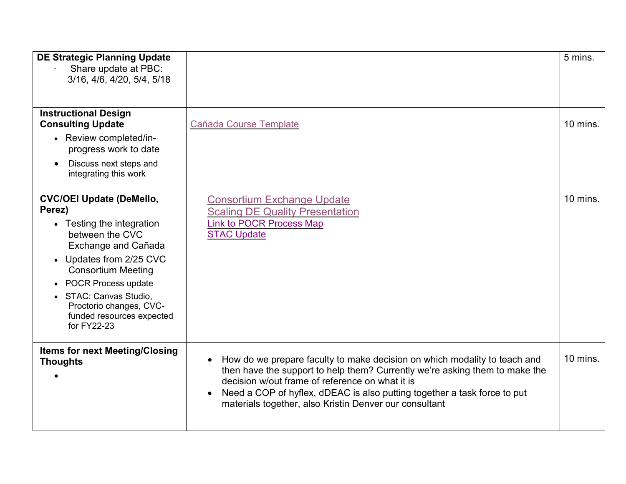| <b>DE Strategic Planning Update</b><br>Share update at PBC:<br>3/16, 4/6, 4/20, 5/4, 5/18                                                                                                                                                                                                          |                                                                                                                                                                                                                                                                                                                                                   | 5 mins.  |
|----------------------------------------------------------------------------------------------------------------------------------------------------------------------------------------------------------------------------------------------------------------------------------------------------|---------------------------------------------------------------------------------------------------------------------------------------------------------------------------------------------------------------------------------------------------------------------------------------------------------------------------------------------------|----------|
| <b>Instructional Design</b><br><b>Consulting Update</b><br>• Review completed/in-<br>progress work to date<br>Discuss next steps and<br>integrating this work                                                                                                                                      | Cañada Course Template                                                                                                                                                                                                                                                                                                                            | 10 mins. |
| <b>CVC/OEI Update (DeMello,</b><br>Perez)<br>• Testing the integration<br>between the CVC<br>Exchange and Cañada<br>• Updates from 2/25 CVC<br><b>Consortium Meeting</b><br>• POCR Process update<br>• STAC: Canvas Studio,<br>Proctorio changes, CVC-<br>funded resources expected<br>for FY22-23 | <b>Consortium Exchange Update</b><br><b>Scaling DE Quality Presentation</b><br><b>Link to POCR Process Map</b><br><b>STAC Update</b>                                                                                                                                                                                                              | 10 mins. |
| <b>Items for next Meeting/Closing</b><br><b>Thoughts</b>                                                                                                                                                                                                                                           | How do we prepare faculty to make decision on which modality to teach and<br>then have the support to help them? Currently we're asking them to make the<br>decision w/out frame of reference on what it is<br>Need a COP of hyflex, dDEAC is also putting together a task force to put<br>materials together, also Kristin Denver our consultant | 10 mins. |